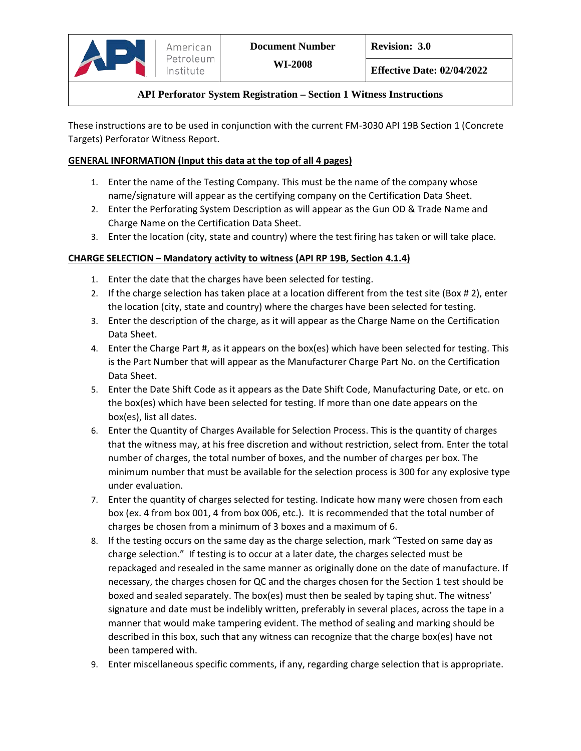These instructions are to be used in conjunction with the current FM-3030 API 19B Section 1 (Concrete Targets) Perforator Witness Report.

### **GENERAL INFORMATION (Input this data at the top of all 4 pages)**

- 1. Enter the name of the Testing Company. This must be the name of the company whose name/signature will appear as the certifying company on the Certification Data Sheet.
- 2. Enter the Perforating System Description as will appear as the Gun OD & Trade Name and Charge Name on the Certification Data Sheet.
- 3. Enter the location (city, state and country) where the test firing has taken or will take place.

# **CHARGE SELECTION – Mandatory activity to witness (API RP 19B, Section 4.1.4)**

- 1. Enter the date that the charges have been selected for testing.
- 2. If the charge selection has taken place at a location different from the test site (Box # 2), enter the location (city, state and country) where the charges have been selected for testing.
- 3. Enter the description of the charge, as it will appear as the Charge Name on the Certification Data Sheet.
- 4. Enter the Charge Part #, as it appears on the box(es) which have been selected for testing. This is the Part Number that will appear as the Manufacturer Charge Part No. on the Certification Data Sheet.
- 5. Enter the Date Shift Code as it appears as the Date Shift Code, Manufacturing Date, or etc. on the box(es) which have been selected for testing. If more than one date appears on the box(es), list all dates.
- 6. Enter the Quantity of Charges Available for Selection Process. This is the quantity of charges that the witness may, at his free discretion and without restriction, select from. Enter the total number of charges, the total number of boxes, and the number of charges per box. The minimum number that must be available for the selection process is 300 for any explosive type under evaluation.
- 7. Enter the quantity of charges selected for testing. Indicate how many were chosen from each box (ex. 4 from box 001, 4 from box 006, etc.). It is recommended that the total number of charges be chosen from a minimum of 3 boxes and a maximum of 6.
- 8. If the testing occurs on the same day as the charge selection, mark "Tested on same day as charge selection." If testing is to occur at a later date, the charges selected must be repackaged and resealed in the same manner as originally done on the date of manufacture. If necessary, the charges chosen for QC and the charges chosen for the Section 1 test should be boxed and sealed separately. The box(es) must then be sealed by taping shut. The witness' signature and date must be indelibly written, preferably in several places, across the tape in a manner that would make tampering evident. The method of sealing and marking should be described in this box, such that any witness can recognize that the charge box(es) have not been tampered with.
- 9. Enter miscellaneous specific comments, if any, regarding charge selection that is appropriate.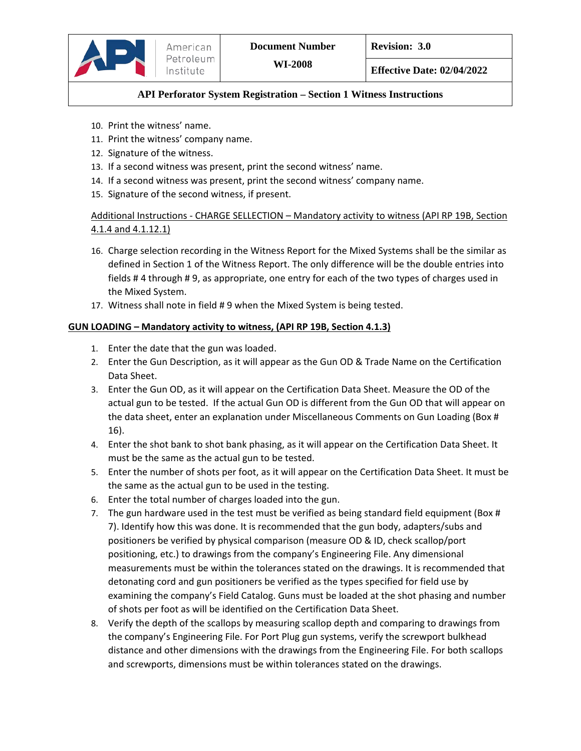

- 10. Print the witness' name.
- 11. Print the witness' company name.
- 12. Signature of the witness.
- 13. If a second witness was present, print the second witness' name.
- 14. If a second witness was present, print the second witness' company name.
- 15. Signature of the second witness, if present.

# Additional Instructions - CHARGE SELLECTION – Mandatory activity to witness (API RP 19B, Section 4.1.4 and 4.1.12.1)

- 16. Charge selection recording in the Witness Report for the Mixed Systems shall be the similar as defined in Section 1 of the Witness Report. The only difference will be the double entries into fields # 4 through # 9, as appropriate, one entry for each of the two types of charges used in the Mixed System.
- 17. Witness shall note in field # 9 when the Mixed System is being tested.

#### **GUN LOADING – Mandatory activity to witness, (API RP 19B, Section 4.1.3)**

- 1. Enter the date that the gun was loaded.
- 2. Enter the Gun Description, as it will appear as the Gun OD & Trade Name on the Certification Data Sheet.
- 3. Enter the Gun OD, as it will appear on the Certification Data Sheet. Measure the OD of the actual gun to be tested. If the actual Gun OD is different from the Gun OD that will appear on the data sheet, enter an explanation under Miscellaneous Comments on Gun Loading (Box # 16).
- 4. Enter the shot bank to shot bank phasing, as it will appear on the Certification Data Sheet. It must be the same as the actual gun to be tested.
- 5. Enter the number of shots per foot, as it will appear on the Certification Data Sheet. It must be the same as the actual gun to be used in the testing.
- 6. Enter the total number of charges loaded into the gun.
- 7. The gun hardware used in the test must be verified as being standard field equipment (Box # 7). Identify how this was done. It is recommended that the gun body, adapters/subs and positioners be verified by physical comparison (measure OD & ID, check scallop/port positioning, etc.) to drawings from the company's Engineering File. Any dimensional measurements must be within the tolerances stated on the drawings. It is recommended that detonating cord and gun positioners be verified as the types specified for field use by examining the company's Field Catalog. Guns must be loaded at the shot phasing and number of shots per foot as will be identified on the Certification Data Sheet.
- 8. Verify the depth of the scallops by measuring scallop depth and comparing to drawings from the company's Engineering File. For Port Plug gun systems, verify the screwport bulkhead distance and other dimensions with the drawings from the Engineering File. For both scallops and screwports, dimensions must be within tolerances stated on the drawings.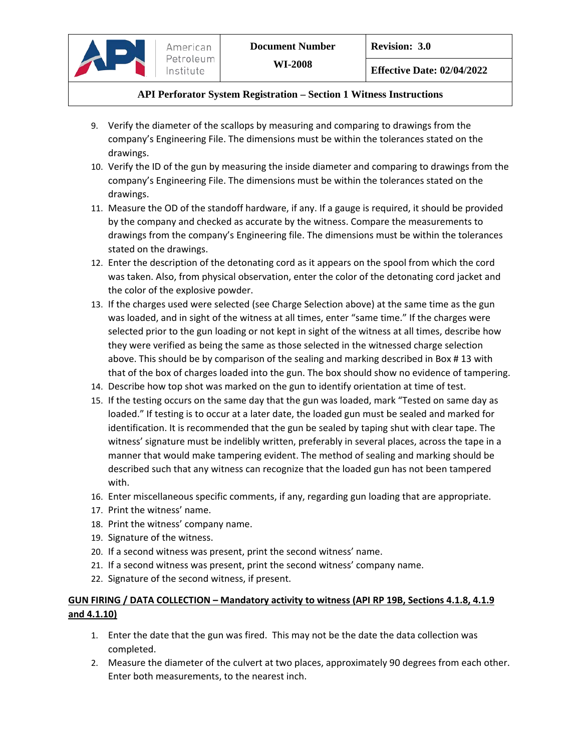- 9. Verify the diameter of the scallops by measuring and comparing to drawings from the company's Engineering File. The dimensions must be within the tolerances stated on the drawings.
- 10. Verify the ID of the gun by measuring the inside diameter and comparing to drawings from the company's Engineering File. The dimensions must be within the tolerances stated on the drawings.
- 11. Measure the OD of the standoff hardware, if any. If a gauge is required, it should be provided by the company and checked as accurate by the witness. Compare the measurements to drawings from the company's Engineering file. The dimensions must be within the tolerances stated on the drawings.
- 12. Enter the description of the detonating cord as it appears on the spool from which the cord was taken. Also, from physical observation, enter the color of the detonating cord jacket and the color of the explosive powder.
- 13. If the charges used were selected (see Charge Selection above) at the same time as the gun was loaded, and in sight of the witness at all times, enter "same time." If the charges were selected prior to the gun loading or not kept in sight of the witness at all times, describe how they were verified as being the same as those selected in the witnessed charge selection above. This should be by comparison of the sealing and marking described in Box # 13 with that of the box of charges loaded into the gun. The box should show no evidence of tampering.
- 14. Describe how top shot was marked on the gun to identify orientation at time of test.
- 15. If the testing occurs on the same day that the gun was loaded, mark "Tested on same day as loaded." If testing is to occur at a later date, the loaded gun must be sealed and marked for identification. It is recommended that the gun be sealed by taping shut with clear tape. The witness' signature must be indelibly written, preferably in several places, across the tape in a manner that would make tampering evident. The method of sealing and marking should be described such that any witness can recognize that the loaded gun has not been tampered with.
- 16. Enter miscellaneous specific comments, if any, regarding gun loading that are appropriate.
- 17. Print the witness' name.
- 18. Print the witness' company name.
- 19. Signature of the witness.
- 20. If a second witness was present, print the second witness' name.
- 21. If a second witness was present, print the second witness' company name.
- 22. Signature of the second witness, if present.

#### **GUN FIRING / DATA COLLECTION – Mandatory activity to witness (API RP 19B, Sections 4.1.8, 4.1.9 and 4.1.10)**

- 1. Enter the date that the gun was fired. This may not be the date the data collection was completed.
- 2. Measure the diameter of the culvert at two places, approximately 90 degrees from each other. Enter both measurements, to the nearest inch.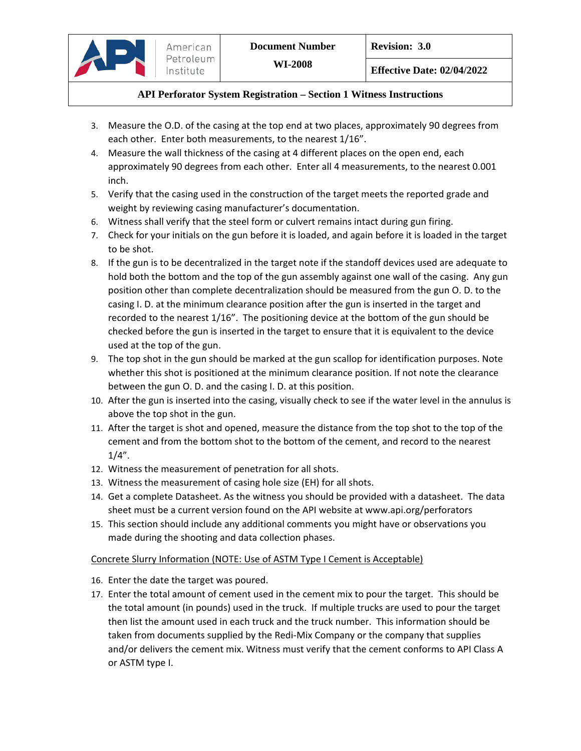- 3. Measure the O.D. of the casing at the top end at two places, approximately 90 degrees from each other. Enter both measurements, to the nearest 1/16".
- 4. Measure the wall thickness of the casing at 4 different places on the open end, each approximately 90 degrees from each other. Enter all 4 measurements, to the nearest 0.001 inch.
- 5. Verify that the casing used in the construction of the target meets the reported grade and weight by reviewing casing manufacturer's documentation.
- 6. Witness shall verify that the steel form or culvert remains intact during gun firing.
- 7. Check for your initials on the gun before it is loaded, and again before it is loaded in the target to be shot.
- 8. If the gun is to be decentralized in the target note if the standoff devices used are adequate to hold both the bottom and the top of the gun assembly against one wall of the casing. Any gun position other than complete decentralization should be measured from the gun O. D. to the casing I. D. at the minimum clearance position after the gun is inserted in the target and recorded to the nearest 1/16". The positioning device at the bottom of the gun should be checked before the gun is inserted in the target to ensure that it is equivalent to the device used at the top of the gun.
- 9. The top shot in the gun should be marked at the gun scallop for identification purposes. Note whether this shot is positioned at the minimum clearance position. If not note the clearance between the gun O. D. and the casing I. D. at this position.
- 10. After the gun is inserted into the casing, visually check to see if the water level in the annulus is above the top shot in the gun.
- 11. After the target is shot and opened, measure the distance from the top shot to the top of the cement and from the bottom shot to the bottom of the cement, and record to the nearest 1/4".
- 12. Witness the measurement of penetration for all shots.
- 13. Witness the measurement of casing hole size (EH) for all shots.
- 14. Get a complete Datasheet. As the witness you should be provided with a datasheet. The data sheet must be a current version found on the API website at www.api.org/perforators
- 15. This section should include any additional comments you might have or observations you made during the shooting and data collection phases.

# Concrete Slurry Information (NOTE: Use of ASTM Type I Cement is Acceptable)

- 16. Enter the date the target was poured.
- 17. Enter the total amount of cement used in the cement mix to pour the target. This should be the total amount (in pounds) used in the truck. If multiple trucks are used to pour the target then list the amount used in each truck and the truck number. This information should be taken from documents supplied by the Redi-Mix Company or the company that supplies and/or delivers the cement mix. Witness must verify that the cement conforms to API Class A or ASTM type I.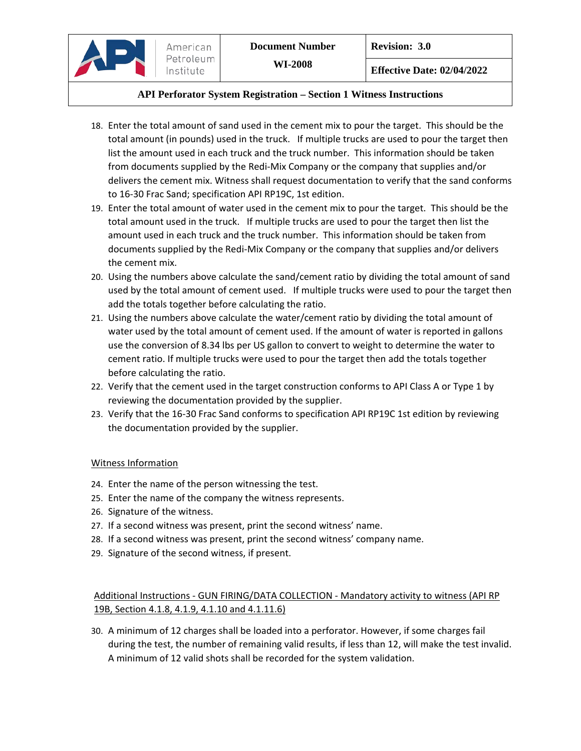**Effective Date: 02/04/2022**

### **API Perforator System Registration – Section 1 Witness Instructions**

- 18. Enter the total amount of sand used in the cement mix to pour the target. This should be the total amount (in pounds) used in the truck. If multiple trucks are used to pour the target then list the amount used in each truck and the truck number. This information should be taken from documents supplied by the Redi-Mix Company or the company that supplies and/or delivers the cement mix. Witness shall request documentation to verify that the sand conforms to 16-30 Frac Sand; specification API RP19C, 1st edition.
- 19. Enter the total amount of water used in the cement mix to pour the target. This should be the total amount used in the truck. If multiple trucks are used to pour the target then list the amount used in each truck and the truck number. This information should be taken from documents supplied by the Redi-Mix Company or the company that supplies and/or delivers the cement mix.
- 20. Using the numbers above calculate the sand/cement ratio by dividing the total amount of sand used by the total amount of cement used. If multiple trucks were used to pour the target then add the totals together before calculating the ratio.
- 21. Using the numbers above calculate the water/cement ratio by dividing the total amount of water used by the total amount of cement used. If the amount of water is reported in gallons use the conversion of 8.34 lbs per US gallon to convert to weight to determine the water to cement ratio. If multiple trucks were used to pour the target then add the totals together before calculating the ratio.
- 22. Verify that the cement used in the target construction conforms to API Class A or Type 1 by reviewing the documentation provided by the supplier.
- 23. Verify that the 16-30 Frac Sand conforms to specification API RP19C 1st edition by reviewing the documentation provided by the supplier.

#### Witness Information

- 24. Enter the name of the person witnessing the test.
- 25. Enter the name of the company the witness represents.
- 26. Signature of the witness.
- 27. If a second witness was present, print the second witness' name.
- 28. If a second witness was present, print the second witness' company name.
- 29. Signature of the second witness, if present.

Additional Instructions - GUN FIRING/DATA COLLECTION - Mandatory activity to witness (API RP 19B, Section 4.1.8, 4.1.9, 4.1.10 and 4.1.11.6)

30. A minimum of 12 charges shall be loaded into a perforator. However, if some charges fail during the test, the number of remaining valid results, if less than 12, will make the test invalid. A minimum of 12 valid shots shall be recorded for the system validation.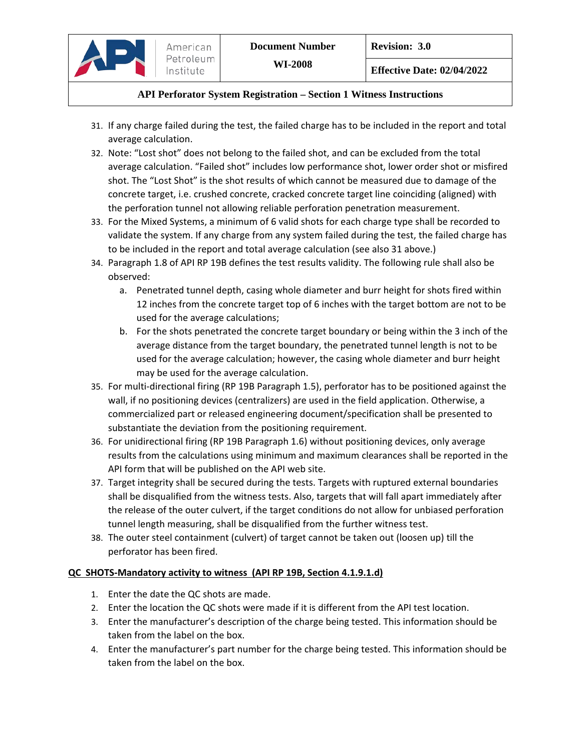- 31. If any charge failed during the test, the failed charge has to be included in the report and total average calculation.
- 32. Note: "Lost shot" does not belong to the failed shot, and can be excluded from the total average calculation. "Failed shot" includes low performance shot, lower order shot or misfired shot. The "Lost Shot" is the shot results of which cannot be measured due to damage of the concrete target, i.e. crushed concrete, cracked concrete target line coinciding (aligned) with the perforation tunnel not allowing reliable perforation penetration measurement.
- 33. For the Mixed Systems, a minimum of 6 valid shots for each charge type shall be recorded to validate the system. If any charge from any system failed during the test, the failed charge has to be included in the report and total average calculation (see also 31 above.)
- 34. Paragraph 1.8 of API RP 19B defines the test results validity. The following rule shall also be observed:
	- a. Penetrated tunnel depth, casing whole diameter and burr height for shots fired within 12 inches from the concrete target top of 6 inches with the target bottom are not to be used for the average calculations;
	- b. For the shots penetrated the concrete target boundary or being within the 3 inch of the average distance from the target boundary, the penetrated tunnel length is not to be used for the average calculation; however, the casing whole diameter and burr height may be used for the average calculation.
- 35. For multi-directional firing (RP 19B Paragraph 1.5), perforator has to be positioned against the wall, if no positioning devices (centralizers) are used in the field application. Otherwise, a commercialized part or released engineering document/specification shall be presented to substantiate the deviation from the positioning requirement.
- 36. For unidirectional firing (RP 19B Paragraph 1.6) without positioning devices, only average results from the calculations using minimum and maximum clearances shall be reported in the API form that will be published on the API web site.
- 37. Target integrity shall be secured during the tests. Targets with ruptured external boundaries shall be disqualified from the witness tests. Also, targets that will fall apart immediately after the release of the outer culvert, if the target conditions do not allow for unbiased perforation tunnel length measuring, shall be disqualified from the further witness test.
- 38. The outer steel containment (culvert) of target cannot be taken out (loosen up) till the perforator has been fired.

# **QC SHOTS‐Mandatory activity to witness (API RP 19B, Section 4.1.9.1.d)**

- 1. Enter the date the QC shots are made.
- 2. Enter the location the QC shots were made if it is different from the API test location.
- 3. Enter the manufacturer's description of the charge being tested. This information should be taken from the label on the box.
- 4. Enter the manufacturer's part number for the charge being tested. This information should be taken from the label on the box.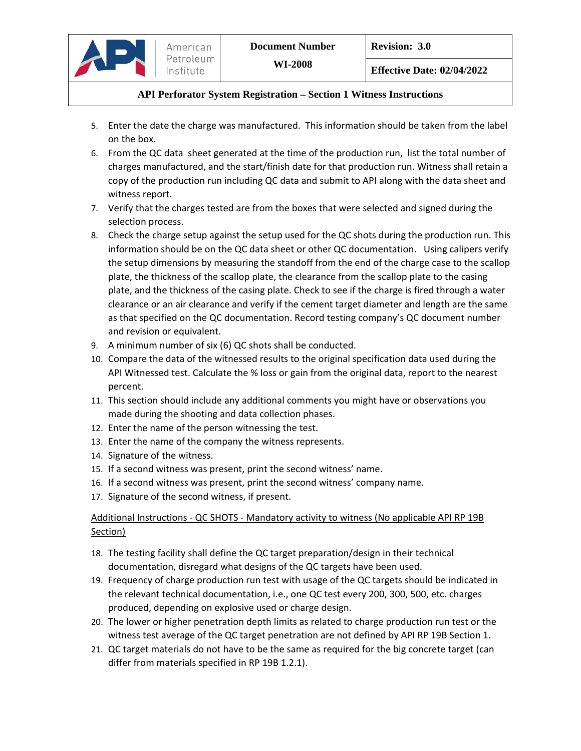**Effective Date: 02/04/2022**

### **API Perforator System Registration – Section 1 Witness Instructions**

- 5. Enter the date the charge was manufactured. This information should be taken from the label on the box.
- 6. From the QC data sheet generated at the time of the production run, list the total number of charges manufactured, and the start/finish date for that production run. Witness shall retain a copy of the production run including QC data and submit to API along with the data sheet and witness report.
- 7. Verify that the charges tested are from the boxes that were selected and signed during the selection process.
- 8. Check the charge setup against the setup used for the QC shots during the production run. This information should be on the QC data sheet or other QC documentation. Using calipers verify the setup dimensions by measuring the standoff from the end of the charge case to the scallop plate, the thickness of the scallop plate, the clearance from the scallop plate to the casing plate, and the thickness of the casing plate. Check to see if the charge is fired through a water clearance or an air clearance and verify if the cement target diameter and length are the same as that specified on the QC documentation. Record testing company's QC document number and revision or equivalent.
- 9. A minimum number of six (6) QC shots shall be conducted.
- 10. Compare the data of the witnessed results to the original specification data used during the API Witnessed test. Calculate the % loss or gain from the original data, report to the nearest percent.
- 11. This section should include any additional comments you might have or observations you made during the shooting and data collection phases.
- 12. Enter the name of the person witnessing the test.
- 13. Enter the name of the company the witness represents.
- 14. Signature of the witness.
- 15. If a second witness was present, print the second witness' name.
- 16. If a second witness was present, print the second witness' company name.
- 17. Signature of the second witness, if present.

# Additional Instructions - QC SHOTS - Mandatory activity to witness (No applicable API RP 19B Section)

- 18. The testing facility shall define the QC target preparation/design in their technical documentation, disregard what designs of the QC targets have been used.
- 19. Frequency of charge production run test with usage of the QC targets should be indicated in the relevant technical documentation, i.e., one QC test every 200, 300, 500, etc. charges produced, depending on explosive used or charge design.
- 20. The lower or higher penetration depth limits as related to charge production run test or the witness test average of the QC target penetration are not defined by API RP 19B Section 1.
- 21. QC target materials do not have to be the same as required for the big concrete target (can differ from materials specified in RP 19B 1.2.1).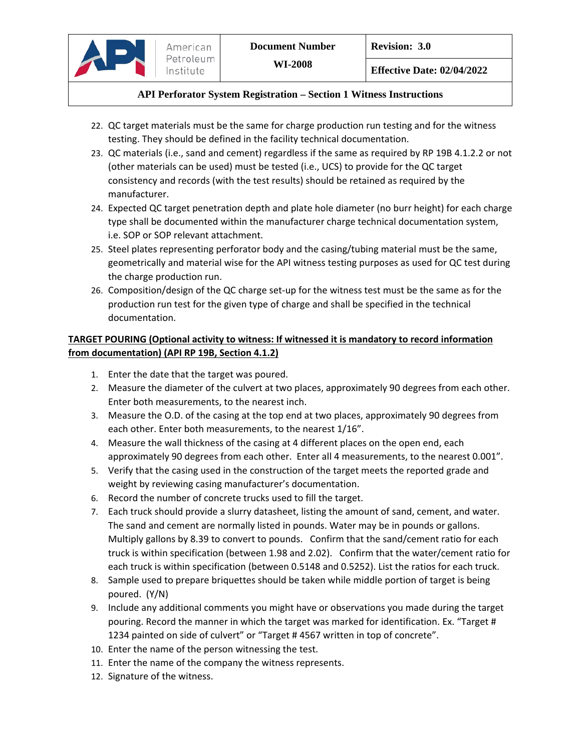- 22. QC target materials must be the same for charge production run testing and for the witness testing. They should be defined in the facility technical documentation.
- 23. QC materials (i.e., sand and cement) regardless if the same as required by RP 19B 4.1.2.2 or not (other materials can be used) must be tested (i.e., UCS) to provide for the QC target consistency and records (with the test results) should be retained as required by the manufacturer.
- 24. Expected QC target penetration depth and plate hole diameter (no burr height) for each charge type shall be documented within the manufacturer charge technical documentation system, i.e. SOP or SOP relevant attachment.
- 25. Steel plates representing perforator body and the casing/tubing material must be the same, geometrically and material wise for the API witness testing purposes as used for QC test during the charge production run.
- 26. Composition/design of the QC charge set-up for the witness test must be the same as for the production run test for the given type of charge and shall be specified in the technical documentation.

# **TARGET POURING (Optional activity to witness: If witnessed it is mandatory to record information from documentation) (API RP 19B, Section 4.1.2)**

1. Enter the date that the target was poured.

American Petroleum Institute

- 2. Measure the diameter of the culvert at two places, approximately 90 degrees from each other. Enter both measurements, to the nearest inch.
- 3. Measure the O.D. of the casing at the top end at two places, approximately 90 degrees from each other. Enter both measurements, to the nearest 1/16".
- 4. Measure the wall thickness of the casing at 4 different places on the open end, each approximately 90 degrees from each other. Enter all 4 measurements, to the nearest 0.001".
- 5. Verify that the casing used in the construction of the target meets the reported grade and weight by reviewing casing manufacturer's documentation.
- 6. Record the number of concrete trucks used to fill the target.
- 7. Each truck should provide a slurry datasheet, listing the amount of sand, cement, and water. The sand and cement are normally listed in pounds. Water may be in pounds or gallons. Multiply gallons by 8.39 to convert to pounds. Confirm that the sand/cement ratio for each truck is within specification (between 1.98 and 2.02). Confirm that the water/cement ratio for each truck is within specification (between 0.5148 and 0.5252). List the ratios for each truck.
- 8. Sample used to prepare briquettes should be taken while middle portion of target is being poured. (Y/N)
- 9. Include any additional comments you might have or observations you made during the target pouring. Record the manner in which the target was marked for identification. Ex. "Target # 1234 painted on side of culvert" or "Target # 4567 written in top of concrete".
- 10. Enter the name of the person witnessing the test.
- 11. Enter the name of the company the witness represents.
- 12. Signature of the witness.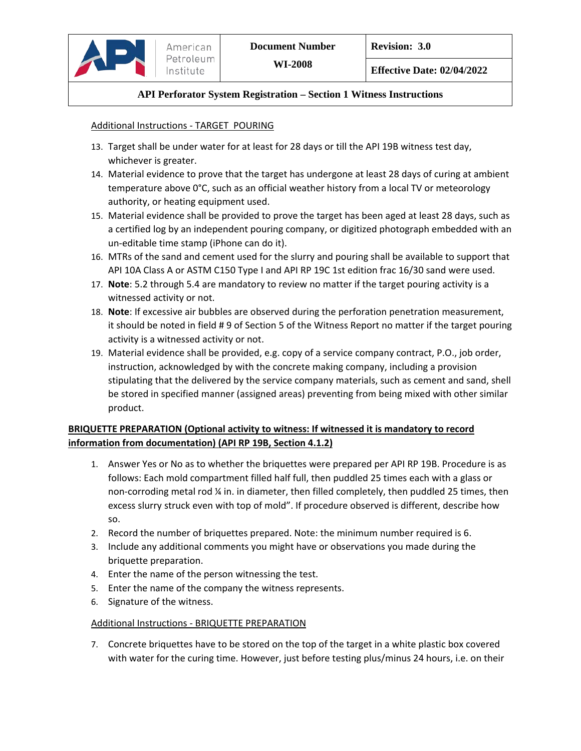### Additional Instructions - TARGET POURING

- 13. Target shall be under water for at least for 28 days or till the API 19B witness test day, whichever is greater.
- 14. Material evidence to prove that the target has undergone at least 28 days of curing at ambient temperature above 0°C, such as an official weather history from a local TV or meteorology authority, or heating equipment used.
- 15. Material evidence shall be provided to prove the target has been aged at least 28 days, such as a certified log by an independent pouring company, or digitized photograph embedded with an un-editable time stamp (iPhone can do it).
- 16. MTRs of the sand and cement used for the slurry and pouring shall be available to support that API 10A Class A or ASTM C150 Type I and API RP 19C 1st edition frac 16/30 sand were used.
- 17. **Note**: 5.2 through 5.4 are mandatory to review no matter if the target pouring activity is a witnessed activity or not.
- 18. **Note**: If excessive air bubbles are observed during the perforation penetration measurement, it should be noted in field # 9 of Section 5 of the Witness Report no matter if the target pouring activity is a witnessed activity or not.
- 19. Material evidence shall be provided, e.g. copy of a service company contract, P.O., job order, instruction, acknowledged by with the concrete making company, including a provision stipulating that the delivered by the service company materials, such as cement and sand, shell be stored in specified manner (assigned areas) preventing from being mixed with other similar product.

# **BRIQUETTE PREPARATION (Optional activity to witness: If witnessed it is mandatory to record information from documentation) (API RP 19B, Section 4.1.2)**

- 1. Answer Yes or No as to whether the briquettes were prepared per API RP 19B. Procedure is as follows: Each mold compartment filled half full, then puddled 25 times each with a glass or non-corroding metal rod ¼ in. in diameter, then filled completely, then puddled 25 times, then excess slurry struck even with top of mold". If procedure observed is different, describe how so.
- 2. Record the number of briquettes prepared. Note: the minimum number required is 6.
- 3. Include any additional comments you might have or observations you made during the briquette preparation.
- 4. Enter the name of the person witnessing the test.
- 5. Enter the name of the company the witness represents.
- 6. Signature of the witness.

#### Additional Instructions - BRIQUETTE PREPARATION

7. Concrete briquettes have to be stored on the top of the target in a white plastic box covered with water for the curing time. However, just before testing plus/minus 24 hours, i.e. on their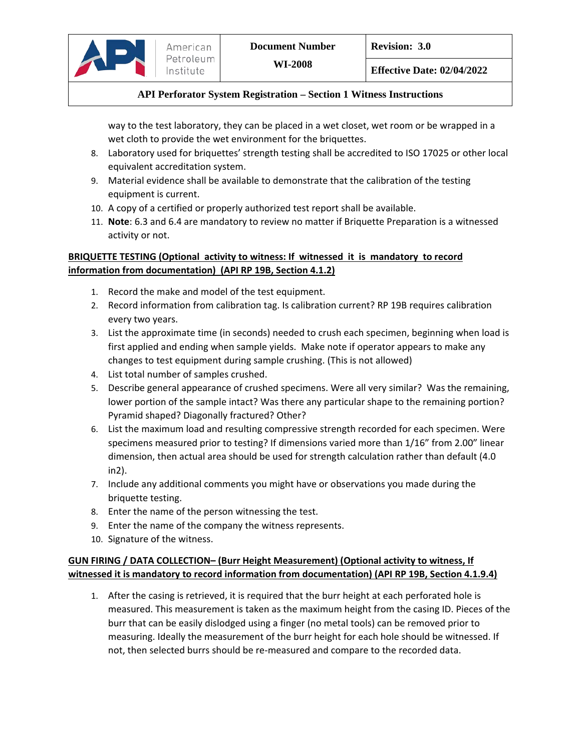way to the test laboratory, they can be placed in a wet closet, wet room or be wrapped in a wet cloth to provide the wet environment for the briquettes.

- 8. Laboratory used for briquettes' strength testing shall be accredited to ISO 17025 or other local equivalent accreditation system.
- 9. Material evidence shall be available to demonstrate that the calibration of the testing equipment is current.
- 10. A copy of a certified or properly authorized test report shall be available.
- 11. **Note**: 6.3 and 6.4 are mandatory to review no matter if Briquette Preparation is a witnessed activity or not.

# **BRIQUETTE TESTING (Optional activity to witness: If witnessed it is mandatory to record information from documentation) (API RP 19B, Section 4.1.2)**

- 1. Record the make and model of the test equipment.
- 2. Record information from calibration tag. Is calibration current? RP 19B requires calibration every two years.
- 3. List the approximate time (in seconds) needed to crush each specimen, beginning when load is first applied and ending when sample yields. Make note if operator appears to make any changes to test equipment during sample crushing. (This is not allowed)
- 4. List total number of samples crushed.
- 5. Describe general appearance of crushed specimens. Were all very similar? Was the remaining, lower portion of the sample intact? Was there any particular shape to the remaining portion? Pyramid shaped? Diagonally fractured? Other?
- 6. List the maximum load and resulting compressive strength recorded for each specimen. Were specimens measured prior to testing? If dimensions varied more than 1/16" from 2.00" linear dimension, then actual area should be used for strength calculation rather than default (4.0 in2).
- 7. Include any additional comments you might have or observations you made during the briquette testing.
- 8. Enter the name of the person witnessing the test.
- 9. Enter the name of the company the witness represents.
- 10. Signature of the witness.

# **GUN FIRING / DATA COLLECTION– (Burr Height Measurement) (Optional activity to witness, If witnessed it is mandatory to record information from documentation) (API RP 19B, Section 4.1.9.4)**

1. After the casing is retrieved, it is required that the burr height at each perforated hole is measured. This measurement is taken as the maximum height from the casing ID. Pieces of the burr that can be easily dislodged using a finger (no metal tools) can be removed prior to measuring. Ideally the measurement of the burr height for each hole should be witnessed. If not, then selected burrs should be re-measured and compare to the recorded data.